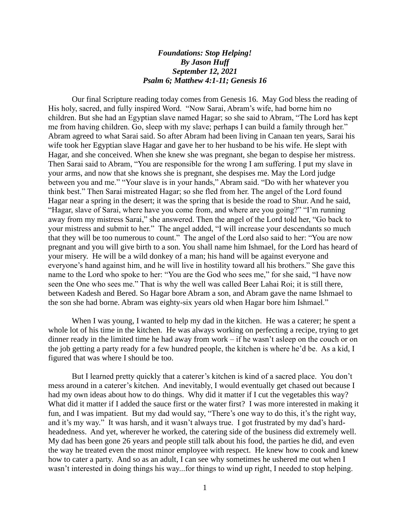## *Foundations: Stop Helping! By Jason Huff September 12, 2021 Psalm 6; Matthew 4:1-11; Genesis 16*

Our final Scripture reading today comes from Genesis 16. May God bless the reading of His holy, sacred, and fully inspired Word. "Now Sarai, Abram's wife, had borne him no children. But she had an Egyptian slave named Hagar; so she said to Abram, "The Lord has kept me from having children. Go, sleep with my slave; perhaps I can build a family through her." Abram agreed to what Sarai said. So after Abram had been living in Canaan ten years, Sarai his wife took her Egyptian slave Hagar and gave her to her husband to be his wife. He slept with Hagar, and she conceived. When she knew she was pregnant, she began to despise her mistress. Then Sarai said to Abram, "You are responsible for the wrong I am suffering. I put my slave in your arms, and now that she knows she is pregnant, she despises me. May the Lord judge between you and me." "Your slave is in your hands," Abram said. "Do with her whatever you think best." Then Sarai mistreated Hagar; so she fled from her. The angel of the Lord found Hagar near a spring in the desert; it was the spring that is beside the road to Shur. And he said, "Hagar, slave of Sarai, where have you come from, and where are you going?" "I'm running away from my mistress Sarai," she answered. Then the angel of the Lord told her, "Go back to your mistress and submit to her." The angel added, "I will increase your descendants so much that they will be too numerous to count." The angel of the Lord also said to her: "You are now pregnant and you will give birth to a son. You shall name him Ishmael, for the Lord has heard of your misery. He will be a wild donkey of a man; his hand will be against everyone and everyone's hand against him, and he will live in hostility toward all his brothers." She gave this name to the Lord who spoke to her: "You are the God who sees me," for she said, "I have now seen the One who sees me." That is why the well was called Beer Lahai Roi; it is still there, between Kadesh and Bered. So Hagar bore Abram a son, and Abram gave the name Ishmael to the son she had borne. Abram was eighty-six years old when Hagar bore him Ishmael."

When I was young, I wanted to help my dad in the kitchen. He was a caterer; he spent a whole lot of his time in the kitchen. He was always working on perfecting a recipe, trying to get dinner ready in the limited time he had away from work – if he wasn't asleep on the couch or on the job getting a party ready for a few hundred people, the kitchen is where he'd be. As a kid, I figured that was where I should be too.

But I learned pretty quickly that a caterer's kitchen is kind of a sacred place. You don't mess around in a caterer's kitchen. And inevitably, I would eventually get chased out because I had my own ideas about how to do things. Why did it matter if I cut the vegetables this way? What did it matter if I added the sauce first or the water first? I was more interested in making it fun, and I was impatient. But my dad would say, "There's one way to do this, it's the right way, and it's my way." It was harsh, and it wasn't always true. I got frustrated by my dad's hardheadedness. And yet, wherever he worked, the catering side of the business did extremely well. My dad has been gone 26 years and people still talk about his food, the parties he did, and even the way he treated even the most minor employee with respect. He knew how to cook and knew how to cater a party. And so as an adult, I can see why sometimes he ushered me out when I wasn't interested in doing things his way...for things to wind up right, I needed to stop helping.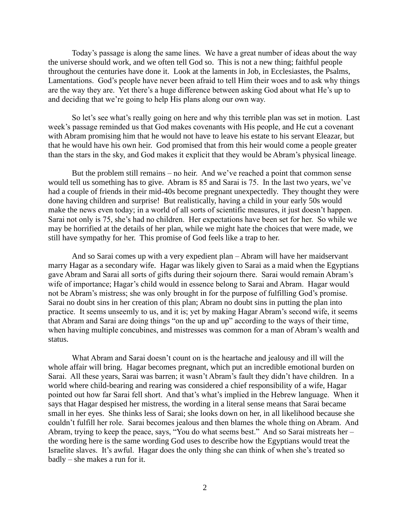Today's passage is along the same lines. We have a great number of ideas about the way the universe should work, and we often tell God so. This is not a new thing; faithful people throughout the centuries have done it. Look at the laments in Job, in Ecclesiastes, the Psalms, Lamentations. God's people have never been afraid to tell Him their woes and to ask why things are the way they are. Yet there's a huge difference between asking God about what He's up to and deciding that we're going to help His plans along our own way.

So let's see what's really going on here and why this terrible plan was set in motion. Last week's passage reminded us that God makes covenants with His people, and He cut a covenant with Abram promising him that he would not have to leave his estate to his servant Eleazar, but that he would have his own heir. God promised that from this heir would come a people greater than the stars in the sky, and God makes it explicit that they would be Abram's physical lineage.

But the problem still remains – no heir. And we've reached a point that common sense would tell us something has to give. Abram is 85 and Sarai is 75. In the last two years, we've had a couple of friends in their mid-40s become pregnant unexpectedly. They thought they were done having children and surprise! But realistically, having a child in your early 50s would make the news even today; in a world of all sorts of scientific measures, it just doesn't happen. Sarai not only is 75, she's had no children. Her expectations have been set for her. So while we may be horrified at the details of her plan, while we might hate the choices that were made, we still have sympathy for her. This promise of God feels like a trap to her.

And so Sarai comes up with a very expedient plan – Abram will have her maidservant marry Hagar as a secondary wife. Hagar was likely given to Sarai as a maid when the Egyptians gave Abram and Sarai all sorts of gifts during their sojourn there. Sarai would remain Abram's wife of importance; Hagar's child would in essence belong to Sarai and Abram. Hagar would not be Abram's mistress; she was only brought in for the purpose of fulfilling God's promise. Sarai no doubt sins in her creation of this plan; Abram no doubt sins in putting the plan into practice. It seems unseemly to us, and it is; yet by making Hagar Abram's second wife, it seems that Abram and Sarai are doing things "on the up and up" according to the ways of their time, when having multiple concubines, and mistresses was common for a man of Abram's wealth and status.

What Abram and Sarai doesn't count on is the heartache and jealousy and ill will the whole affair will bring. Hagar becomes pregnant, which put an incredible emotional burden on Sarai. All these years, Sarai was barren; it wasn't Abram's fault they didn't have children. In a world where child-bearing and rearing was considered a chief responsibility of a wife, Hagar pointed out how far Sarai fell short. And that's what's implied in the Hebrew language. When it says that Hagar despised her mistress, the wording in a literal sense means that Sarai became small in her eyes. She thinks less of Sarai; she looks down on her, in all likelihood because she couldn't fulfill her role. Sarai becomes jealous and then blames the whole thing on Abram. And Abram, trying to keep the peace, says, "You do what seems best." And so Sarai mistreats her – the wording here is the same wording God uses to describe how the Egyptians would treat the Israelite slaves. It's awful. Hagar does the only thing she can think of when she's treated so badly – she makes a run for it.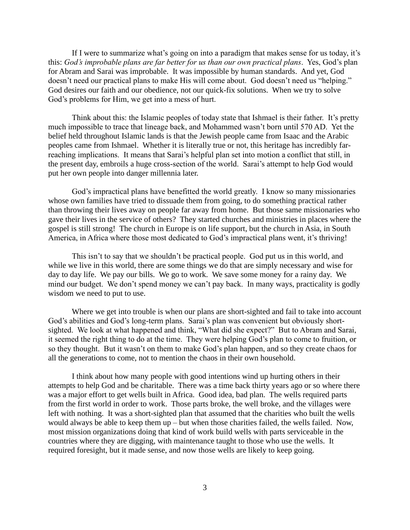If I were to summarize what's going on into a paradigm that makes sense for us today, it's this: *God's improbable plans are far better for us than our own practical plans*. Yes, God's plan for Abram and Sarai was improbable. It was impossible by human standards. And yet, God doesn't need our practical plans to make His will come about. God doesn't need us "helping." God desires our faith and our obedience, not our quick-fix solutions. When we try to solve God's problems for Him, we get into a mess of hurt.

Think about this: the Islamic peoples of today state that Ishmael is their father. It's pretty much impossible to trace that lineage back, and Mohammed wasn't born until 570 AD. Yet the belief held throughout Islamic lands is that the Jewish people came from Isaac and the Arabic peoples came from Ishmael. Whether it is literally true or not, this heritage has incredibly farreaching implications. It means that Sarai's helpful plan set into motion a conflict that still, in the present day, embroils a huge cross-section of the world. Sarai's attempt to help God would put her own people into danger millennia later.

God's impractical plans have benefitted the world greatly. I know so many missionaries whose own families have tried to dissuade them from going, to do something practical rather than throwing their lives away on people far away from home. But those same missionaries who gave their lives in the service of others? They started churches and ministries in places where the gospel is still strong! The church in Europe is on life support, but the church in Asia, in South America, in Africa where those most dedicated to God's impractical plans went, it's thriving!

This isn't to say that we shouldn't be practical people. God put us in this world, and while we live in this world, there are some things we do that are simply necessary and wise for day to day life. We pay our bills. We go to work. We save some money for a rainy day. We mind our budget. We don't spend money we can't pay back. In many ways, practicality is godly wisdom we need to put to use.

Where we get into trouble is when our plans are short-sighted and fail to take into account God's abilities and God's long-term plans. Sarai's plan was convenient but obviously shortsighted. We look at what happened and think, "What did she expect?" But to Abram and Sarai, it seemed the right thing to do at the time. They were helping God's plan to come to fruition, or so they thought. But it wasn't on them to make God's plan happen, and so they create chaos for all the generations to come, not to mention the chaos in their own household.

I think about how many people with good intentions wind up hurting others in their attempts to help God and be charitable. There was a time back thirty years ago or so where there was a major effort to get wells built in Africa. Good idea, bad plan. The wells required parts from the first world in order to work. Those parts broke, the well broke, and the villages were left with nothing. It was a short-sighted plan that assumed that the charities who built the wells would always be able to keep them up – but when those charities failed, the wells failed. Now, most mission organizations doing that kind of work build wells with parts serviceable in the countries where they are digging, with maintenance taught to those who use the wells. It required foresight, but it made sense, and now those wells are likely to keep going.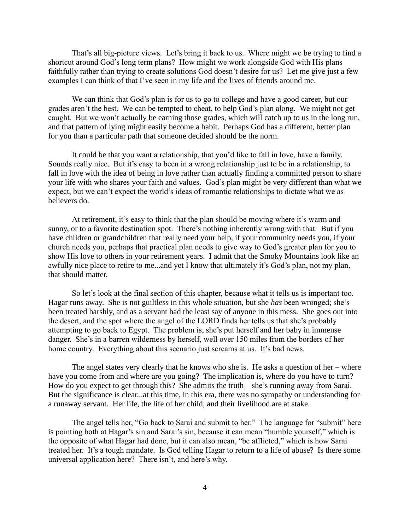That's all big-picture views. Let's bring it back to us. Where might we be trying to find a shortcut around God's long term plans? How might we work alongside God with His plans faithfully rather than trying to create solutions God doesn't desire for us? Let me give just a few examples I can think of that I've seen in my life and the lives of friends around me.

We can think that God's plan is for us to go to college and have a good career, but our grades aren't the best. We can be tempted to cheat, to help God's plan along. We might not get caught. But we won't actually be earning those grades, which will catch up to us in the long run, and that pattern of lying might easily become a habit. Perhaps God has a different, better plan for you than a particular path that someone decided should be the norm.

It could be that you want a relationship, that you'd like to fall in love, have a family. Sounds really nice. But it's easy to been in a wrong relationship just to be in a relationship, to fall in love with the idea of being in love rather than actually finding a committed person to share your life with who shares your faith and values. God's plan might be very different than what we expect, but we can't expect the world's ideas of romantic relationships to dictate what we as believers do.

At retirement, it's easy to think that the plan should be moving where it's warm and sunny, or to a favorite destination spot. There's nothing inherently wrong with that. But if you have children or grandchildren that really need your help, if your community needs you, if your church needs you, perhaps that practical plan needs to give way to God's greater plan for you to show His love to others in your retirement years. I admit that the Smoky Mountains look like an awfully nice place to retire to me...and yet I know that ultimately it's God's plan, not my plan, that should matter.

So let's look at the final section of this chapter, because what it tells us is important too. Hagar runs away. She is not guiltless in this whole situation, but she *has* been wronged; she's been treated harshly, and as a servant had the least say of anyone in this mess. She goes out into the desert, and the spot where the angel of the LORD finds her tells us that she's probably attempting to go back to Egypt. The problem is, she's put herself and her baby in immense danger. She's in a barren wilderness by herself, well over 150 miles from the borders of her home country. Everything about this scenario just screams at us. It's bad news.

The angel states very clearly that he knows who she is. He asks a question of her – where have you come from and where are you going? The implication is, where do you have to turn? How do you expect to get through this? She admits the truth – she's running away from Sarai. But the significance is clear...at this time, in this era, there was no sympathy or understanding for a runaway servant. Her life, the life of her child, and their livelihood are at stake.

The angel tells her, "Go back to Sarai and submit to her." The language for "submit" here is pointing both at Hagar's sin and Sarai's sin, because it can mean "humble yourself," which is the opposite of what Hagar had done, but it can also mean, "be afflicted," which is how Sarai treated her. It's a tough mandate. Is God telling Hagar to return to a life of abuse? Is there some universal application here? There isn't, and here's why.